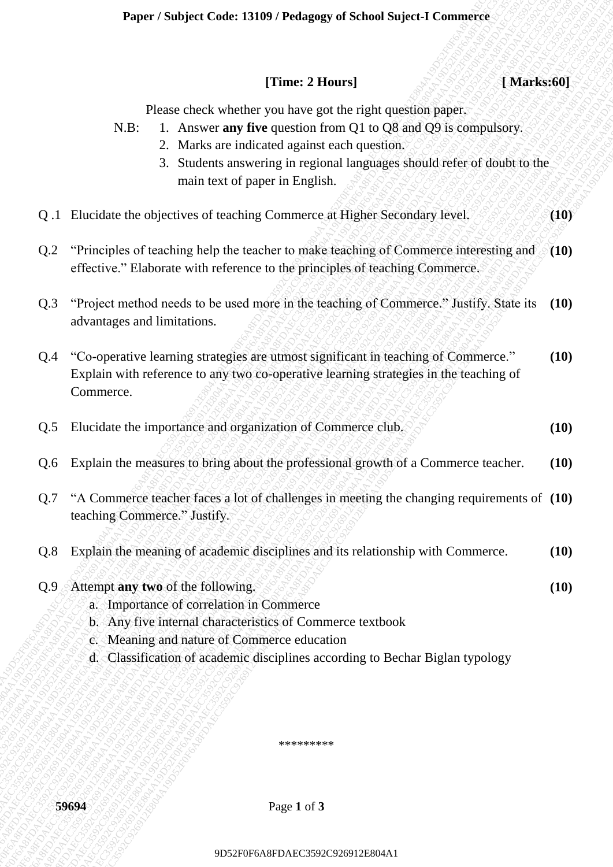### **Paper / Subject Code: 13109 / Pedagogy of School Suject-I Commerce**

| [Time: 2 Hours]<br>[Marks:60]                                                                                                                                                                                                                                                                            |      |
|----------------------------------------------------------------------------------------------------------------------------------------------------------------------------------------------------------------------------------------------------------------------------------------------------------|------|
| Please check whether you have got the right question paper.<br>1. Answer any five question from Q1 to Q8 and Q9 is compulsory.<br>$N.B$ :<br>2. Marks are indicated against each question.<br>3. Students answering in regional languages should refer of doubt to the<br>main text of paper in English. |      |
| Q.1 Elucidate the objectives of teaching Commerce at Higher Secondary level.                                                                                                                                                                                                                             | (10) |
| "Principles of teaching help the teacher to make teaching of Commerce interesting and<br>Q.2<br>effective." Elaborate with reference to the principles of teaching Commerce.                                                                                                                             | (10) |
| "Project method needs to be used more in the teaching of Commerce." Justify. State its<br>Q.3<br>advantages and limitations.                                                                                                                                                                             | (10) |
| "Co-operative learning strategies are utmost significant in teaching of Commerce."<br>Q.4<br>Explain with reference to any two co-operative learning strategies in the teaching of<br>Commerce.                                                                                                          | (10) |
| Elucidate the importance and organization of Commerce club.<br>Q.5                                                                                                                                                                                                                                       | (10) |
| Explain the measures to bring about the professional growth of a Commerce teacher.<br>Q.6                                                                                                                                                                                                                | (10) |
| "A Commerce teacher faces a lot of challenges in meeting the changing requirements of (10)<br>Q.7<br>teaching Commerce." Justify.                                                                                                                                                                        |      |
| Explain the meaning of academic disciplines and its relationship with Commerce.<br>Q.8                                                                                                                                                                                                                   | (10) |
| Attempt any two of the following.<br>Q.9<br>a. Importance of correlation in Commerce<br>b. Any five internal characteristics of Commerce textbook<br>c. Meaning and nature of Commerce education<br>d. Classification of academic disciplines according to Bechar Biglan typology                        | (10) |
| *********                                                                                                                                                                                                                                                                                                |      |
| 59694<br>Page 1 of 3                                                                                                                                                                                                                                                                                     |      |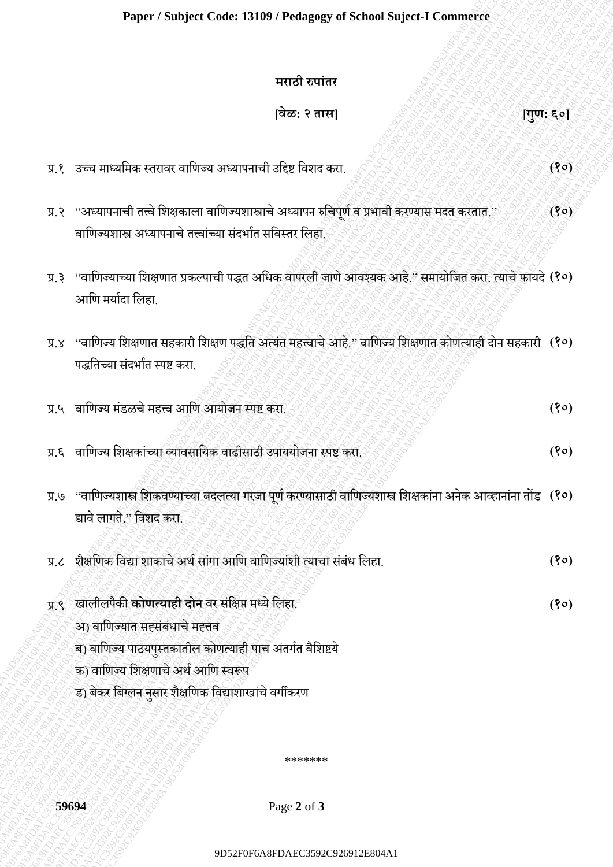#### **Paper / Subject Code: 13109 / Pedagogy of School Suject-I Commerce**

#### **मराठी रुपाांतर**

#### **[वेळ: २ तास] [गुण: ६०]**

- प्र.२ "अध्यापनाची तत्त्वे शिक्षकाला वाणिज्यशास्त्राचे अध्यापन रुचिपूर्ण व प्रभावी करण्यास मदत करतात." वाणिज्यशास्त्र अध्यापनाचे तत्त्वांच्या संदर्भात सविस्तर लिहा. **(१०)**
- प्र.३ "वामिज्याच्या मशक्षिात प्रकल्पाची पद्धत अमिक वापरली जािे आवश्यक आहे." समायोमजत करा. त्याचेफायदे **(१०)** आणि मर्यादा लिहा
- प्र.४ "वामिज्य मशक्षिात सहकारी मशक्षि पद्धमत अत्यांत महत्त्वाचेआह.े" वामिज्य मशक्षिात कोित्याही दोन सहकारी **(१०)** पद्धतिच्या संदर्भात स्पष्ट करा.

|               | मराठी रुपांतर                                                                                                                                                                                                                                                |           |
|---------------|--------------------------------------------------------------------------------------------------------------------------------------------------------------------------------------------------------------------------------------------------------------|-----------|
|               | [वेळ: २ तास]                                                                                                                                                                                                                                                 | [गुण: ६०] |
|               | प्र.१ उच्च माध्यमिक स्तरावर वाणिज्य अध्यापनाची उद्दिष्ट विशद करा.                                                                                                                                                                                            | (80)      |
|               | प्र.२ "अध्यापनाची तत्त्वे शिक्षकाला वाणिज्यशास्त्राचे अध्यापन रुचिपूर्ण व प्रभावी करण्यास मदत करतात."<br>वाणिज्यशास्त्र अध्यापनाचे तत्त्वांच्या संदर्भात सविस्तर लिहा.                                                                                       | (30)      |
| प्र.३         | "वाणिज्याच्या शिक्षणात प्रकल्पाची पद्धत अधिक वापरली जाणे आवश्यक आहे." समायोजित करा. त्याचे फायदे (१०)<br>आणि मर्यादा लिहा.                                                                                                                                   |           |
| X.X           | "वाणिज्य शिक्षणात सहकारी शिक्षण पद्धति अत्यंत महत्त्वाचे आहे." वाणिज्य शिक्षणात कोणत्याही दोन सहकारी (१०)<br>पद्धतिच्या संदर्भात स्पष्ट करा.                                                                                                                 |           |
|               | प्र.५ वाणिज्य मंडळचे महत्त्व आणि आयोजन स्पष्ट करा.                                                                                                                                                                                                           | (30)      |
|               | प्र.६ वाणिज्य शिक्षकांच्या व्यावसायिक वाढीसाठी उपाययोजना स्पष्ट करा.                                                                                                                                                                                         | (80)      |
|               | प्र.७ "वाणिज्यशास्त्र शिकवण्याच्या बदलत्या गरेजा पूर्ण करण्यासाठी वाणिज्यशास्त्र शिक्षकांना अनेक आव्हानांना तोंड (१०)<br>द्यावे लागते." विशद करा.                                                                                                            |           |
| $\lambda$ . K | शैक्षणिक विद्या शाकाचे अर्थ सांगा आणि वाणिज्यांशी त्याचा संबंध लिहा.                                                                                                                                                                                         | (80)      |
|               | प्र.९ खालीलपैकी <b>कोणत्याही दोन</b> वर संक्षिप्त मध्ये लिहा.<br>अ) वाणिज्यात सहसंबंधाचे महत्तव<br>ब) वाणिज्य पाठयपुस्तकातील कोणत्याही पाच अंतर्गत वैशिष्टये<br>क) वाणिज्य शिक्षणाचे अर्थ आणि स्वरूप<br>ड) बेकर बिग्लन नुसार शैक्षणिक विद्याशाखांचे वर्गीकरण | (80)      |
|               | *******                                                                                                                                                                                                                                                      |           |
|               | 59694<br>Page 2 of 3                                                                                                                                                                                                                                         |           |

- द्यावे लागते." मवशद करा.
- प्र.८ शैक्षमिक मवद्या शाकाचेअर्णसाांगा आमि वामिज्याांशी त्याचा सांबांि मलहा. **(१०)**
- प्र.९ खालीलपैकी **कोणत्याही दोन** वर सांमक्षप्त मध्येमलहा. **(१०)** अ) वाणिज्यात सह्संबंधाचे मह्तव
	- ब) वाणिज्य पाठयपुस्तकातील कोणत्याही पाच अंतर्गत वैशिष्टये
	- क) वामिज्य मशक्षिाचे अर्ण आमि स्वरूप
	- ड) बेकर बिग्लन नुसार शैक्षणिक विद्याशाखांचे वर्गीकरण